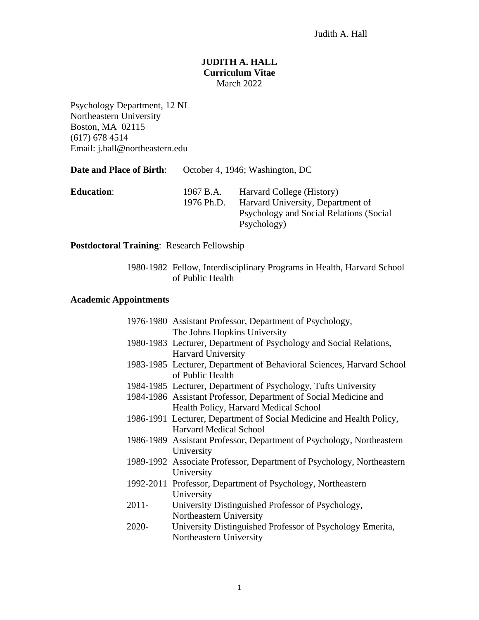## **JUDITH A. HALL Curriculum Vitae** March 2022

Psychology Department, 12 NI Northeastern University Boston, MA 02115 (617) 678 4514 Email: j.hall@northeastern.edu

| <b>Date and Place of Birth:</b> | October 4, 1946; Washington, DC |                                                                                                                          |
|---------------------------------|---------------------------------|--------------------------------------------------------------------------------------------------------------------------|
| <b>Education:</b>               | 1967 B.A.<br>1976 Ph.D.         | Harvard College (History)<br>Harvard University, Department of<br>Psychology and Social Relations (Social<br>Psychology) |

**Postdoctoral Training**: Research Fellowship

1980-1982 Fellow, Interdisciplinary Programs in Health, Harvard School of Public Health

## **Academic Appointments**

|          | 1976-1980 Assistant Professor, Department of Psychology,              |
|----------|-----------------------------------------------------------------------|
|          | The Johns Hopkins University                                          |
|          | 1980-1983 Lecturer, Department of Psychology and Social Relations,    |
|          | <b>Harvard University</b>                                             |
|          | 1983-1985 Lecturer, Department of Behavioral Sciences, Harvard School |
|          | of Public Health                                                      |
|          | 1984-1985 Lecturer, Department of Psychology, Tufts University        |
|          | 1984-1986 Assistant Professor, Department of Social Medicine and      |
|          | Health Policy, Harvard Medical School                                 |
|          | 1986-1991 Lecturer, Department of Social Medicine and Health Policy,  |
|          | <b>Harvard Medical School</b>                                         |
|          | 1986-1989 Assistant Professor, Department of Psychology, Northeastern |
|          | University                                                            |
|          | 1989-1992 Associate Professor, Department of Psychology, Northeastern |
|          | University                                                            |
|          | 1992-2011 Professor, Department of Psychology, Northeastern           |
|          | University                                                            |
| $2011 -$ | University Distinguished Professor of Psychology,                     |
|          | Northeastern University                                               |
| 2020-    | University Distinguished Professor of Psychology Emerita,             |
|          | Northeastern University                                               |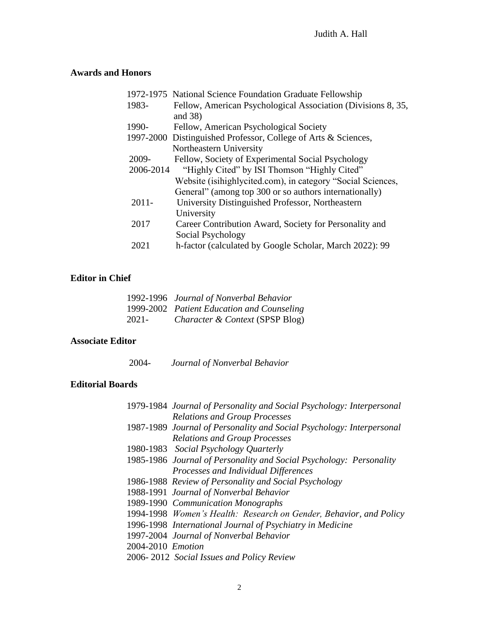# **Awards and Honors**

|           | 1972-1975 National Science Foundation Graduate Fellowship      |
|-----------|----------------------------------------------------------------|
| 1983-     | Fellow, American Psychological Association (Divisions 8, 35,   |
|           | and $38$ )                                                     |
| 1990-     | Fellow, American Psychological Society                         |
|           | 1997-2000 Distinguished Professor, College of Arts & Sciences, |
|           | Northeastern University                                        |
| 2009-     | Fellow, Society of Experimental Social Psychology              |
| 2006-2014 | "Highly Cited" by ISI Thomson "Highly Cited"                   |
|           | Website (isihighlycited.com), in category "Social Sciences,    |
|           | General" (among top 300 or so authors internationally)         |
| $2011 -$  | University Distinguished Professor, Northeastern               |
|           | University                                                     |
| 2017      | Career Contribution Award, Society for Personality and         |
|           | Social Psychology                                              |
| 2021      | h-factor (calculated by Google Scholar, March 2022): 99        |

## **Editor in Chief**

|       | 1992-1996 Journal of Nonverbal Behavior    |
|-------|--------------------------------------------|
|       | 1999-2002 Patient Education and Counseling |
| 2021- | <i>Character &amp; Context (SPSP Blog)</i> |

## **Associate Editor**

2004- *Journal of Nonverbal Behavior*

## **Editorial Boards**

| 1979-1984 Journal of Personality and Social Psychology: Interpersonal |
|-----------------------------------------------------------------------|
| <b>Relations and Group Processes</b>                                  |
| 1987-1989 Journal of Personality and Social Psychology: Interpersonal |
| <b>Relations and Group Processes</b>                                  |
| 1980-1983 Social Psychology Quarterly                                 |
| 1985-1986 Journal of Personality and Social Psychology: Personality   |
| Processes and Individual Differences                                  |
| 1986-1988 Review of Personality and Social Psychology                 |
| 1988-1991 Journal of Nonverbal Behavior                               |
| 1989-1990 Communication Monographs                                    |
| 1994-1998 Women's Health: Research on Gender, Behavior, and Policy    |
| 1996-1998 International Journal of Psychiatry in Medicine             |
| 1997-2004 Journal of Nonverbal Behavior                               |
| 2004-2010 Emotion                                                     |
| 2006-2012 Social Issues and Policy Review                             |
|                                                                       |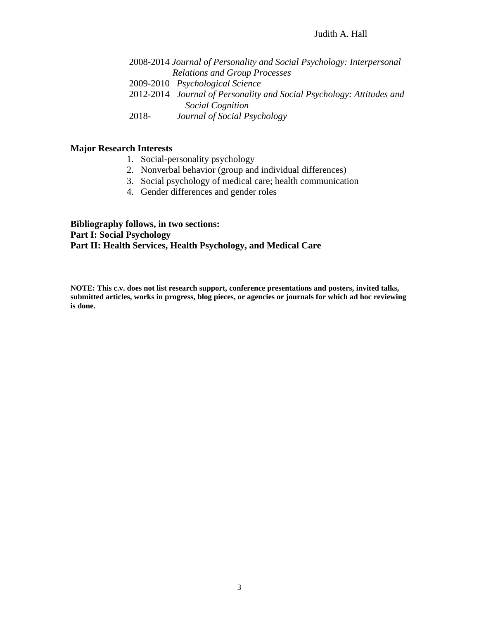#### Judith A. Hall

 2008-2014 *Journal of Personality and Social Psychology: Interpersonal Relations and Group Processes* 2009-2010 *Psychological Science* 2012-2014 *Journal of Personality and Social Psychology: Attitudes and Social Cognition*

2018- *Journal of Social Psychology*

## **Major Research Interests**

- 1. Social-personality psychology
- 2. Nonverbal behavior (group and individual differences)
- 3. Social psychology of medical care; health communication
- 4. Gender differences and gender roles

**Bibliography follows, in two sections: Part I: Social Psychology Part II: Health Services, Health Psychology, and Medical Care**

**NOTE: This c.v. does not list research support, conference presentations and posters, invited talks, submitted articles, works in progress, blog pieces, or agencies or journals for which ad hoc reviewing is done.**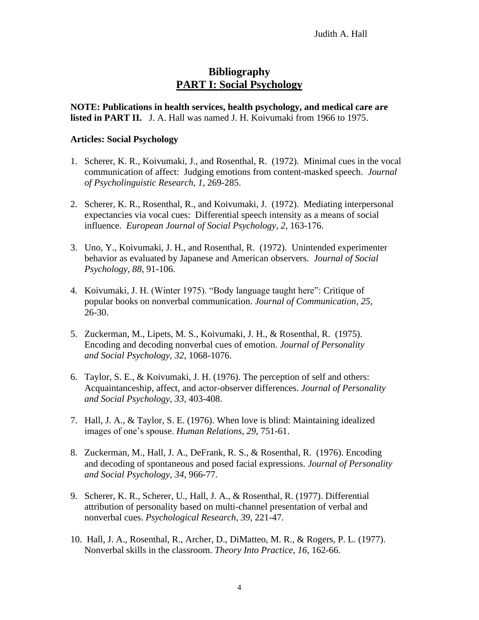## **Bibliography PART I: Social Psychology**

**NOTE: Publications in health services, health psychology, and medical care are listed in PART II.** J. A. Hall was named J. H. Koivumaki from 1966 to 1975.

#### **Articles: Social Psychology**

- 1. Scherer, K. R., Koivumaki, J., and Rosenthal, R. (1972). Minimal cues in the vocal communication of affect: Judging emotions from content-masked speech. *Journal of Psycholinguistic Research*, *1*, 269-285.
- 2. Scherer, K. R., Rosenthal, R., and Koivumaki, J. (1972). Mediating interpersonal expectancies via vocal cues: Differential speech intensity as a means of social influence. *European Journal of Social Psychology*, *2*, 163-176.
- 3. Uno, Y., Koivumaki, J. H., and Rosenthal, R. (1972). Unintended experimenter behavior as evaluated by Japanese and American observers. *Journal of Social Psychology*, *88*, 91-106.
- 4. Koivumaki, J. H. (Winter 1975). "Body language taught here": Critique of popular books on nonverbal communication. *Journal of Communication*, *25*, 26-30.
- 5. Zuckerman, M., Lipets, M. S., Koivumaki, J. H., & Rosenthal, R. (1975). Encoding and decoding nonverbal cues of emotion. *Journal of Personality and Social Psychology*, *32*, 1068-1076.
- 6. Taylor, S. E., & Koivumaki, J. H. (1976). The perception of self and others: Acquaintanceship, affect, and actor-observer differences. *Journal of Personality and Social Psychology*, *33*, 403-408.
- 7. Hall, J. A., & Taylor, S. E. (1976). When love is blind: Maintaining idealized images of one's spouse. *Human Relations*, *29*, 751-61.
- 8. Zuckerman, M., Hall, J. A., DeFrank, R. S., & Rosenthal, R. (1976). Encoding and decoding of spontaneous and posed facial expressions. *Journal of Personality and Social Psychology*, *34*, 966-77.
- 9. Scherer, K. R., Scherer, U., Hall, J. A., & Rosenthal, R. (1977). Differential attribution of personality based on multi-channel presentation of verbal and nonverbal cues. *Psychological Research*, *39*, 221-47.
- 10. Hall, J. A., Rosenthal, R., Archer, D., DiMatteo, M. R., & Rogers, P. L. (1977). Nonverbal skills in the classroom. *Theory Into Practice*, *16*, 162-66.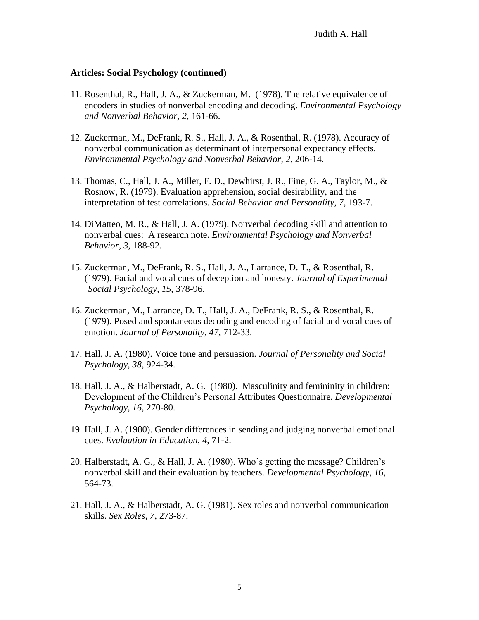- 11. Rosenthal, R., Hall, J. A., & Zuckerman, M. (1978). The relative equivalence of encoders in studies of nonverbal encoding and decoding. *Environmental Psychology and Nonverbal Behavior*, *2*, 161-66.
- 12. Zuckerman, M., DeFrank, R. S., Hall, J. A., & Rosenthal, R. (1978). Accuracy of nonverbal communication as determinant of interpersonal expectancy effects. *Environmental Psychology and Nonverbal Behavior*, *2*, 206-14.
- 13. Thomas, C., Hall, J. A., Miller, F. D., Dewhirst, J. R., Fine, G. A., Taylor, M., & Rosnow, R. (1979). Evaluation apprehension, social desirability, and the interpretation of test correlations. *Social Behavior and Personality*, *7*, 193-7.
- 14. DiMatteo, M. R., & Hall, J. A. (1979). Nonverbal decoding skill and attention to nonverbal cues: A research note. *Environmental Psychology and Nonverbal Behavior*, *3*, 188-92.
- 15. Zuckerman, M., DeFrank, R. S., Hall, J. A., Larrance, D. T., & Rosenthal, R. (1979). Facial and vocal cues of deception and honesty. *Journal of Experimental Social Psychology*, *15*, 378-96.
- 16. Zuckerman, M., Larrance, D. T., Hall, J. A., DeFrank, R. S., & Rosenthal, R. (1979). Posed and spontaneous decoding and encoding of facial and vocal cues of emotion. *Journal of Personality*, *47*, 712-33.
- 17. Hall, J. A. (1980). Voice tone and persuasion. *Journal of Personality and Social Psychology*, *38*, 924-34.
- 18. Hall, J. A., & Halberstadt, A. G. (1980). Masculinity and femininity in children: Development of the Children's Personal Attributes Questionnaire. *Developmental Psychology*, *16*, 270-80.
- 19. Hall, J. A. (1980). Gender differences in sending and judging nonverbal emotional cues. *Evaluation in Education*, *4*, 71-2.
- 20. Halberstadt, A. G., & Hall, J. A. (1980). Who's getting the message? Children's nonverbal skill and their evaluation by teachers. *Developmental Psychology*, *16*, 564-73.
- 21. Hall, J. A., & Halberstadt, A. G. (1981). Sex roles and nonverbal communication skills. *Sex Roles*, *7*, 273-87.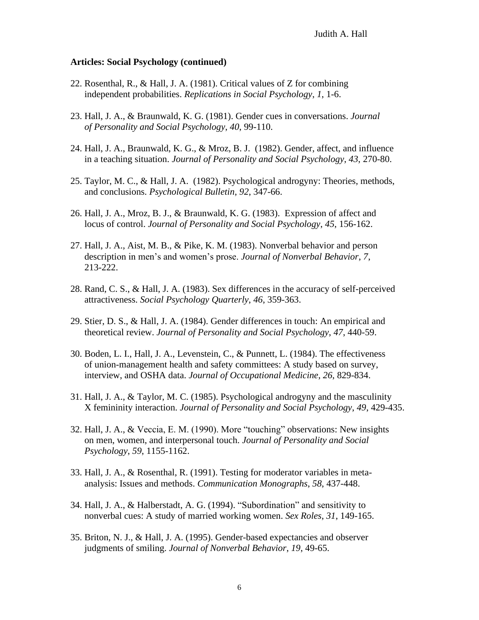- 22. Rosenthal, R., & Hall, J. A. (1981). Critical values of Z for combining independent probabilities. *Replications in Social Psychology*, *1*, 1-6.
- 23. Hall, J. A., & Braunwald, K. G. (1981). Gender cues in conversations. *Journal of Personality and Social Psychology*, *40*, 99-110.
- 24. Hall, J. A., Braunwald, K. G., & Mroz, B. J. (1982). Gender, affect, and influence in a teaching situation. *Journal of Personality and Social Psychology*, *43*, 270-80.
- 25. Taylor, M. C., & Hall, J. A. (1982). Psychological androgyny: Theories, methods, and conclusions. *Psychological Bulletin*, *92*, 347-66.
- 26. Hall, J. A., Mroz, B. J., & Braunwald, K. G. (1983). Expression of affect and locus of control. *Journal of Personality and Social Psychology*, *45*, 156-162.
- 27. Hall, J. A., Aist, M. B., & Pike, K. M. (1983). Nonverbal behavior and person description in men's and women's prose. *Journal of Nonverbal Behavior*, *7*, 213-222.
- 28. Rand, C. S., & Hall, J. A. (1983). Sex differences in the accuracy of self-perceived attractiveness. *Social Psychology Quarterly*, *46*, 359-363.
- 29. Stier, D. S., & Hall, J. A. (1984). Gender differences in touch: An empirical and theoretical review. *Journal of Personality and Social Psychology*, *47*, 440-59.
- 30. Boden, L. I., Hall, J. A., Levenstein, C., & Punnett, L. (1984). The effectiveness of union-management health and safety committees: A study based on survey, interview, and OSHA data. *Journal of Occupational Medicine*, *26*, 829-834.
- 31. Hall, J. A., & Taylor, M. C. (1985). Psychological androgyny and the masculinity X femininity interaction. *Journal of Personality and Social Psychology*, *49*, 429-435.
- 32. Hall, J. A., & Veccia, E. M. (1990). More "touching" observations: New insights on men, women, and interpersonal touch. *Journal of Personality and Social Psychology*, *59*, 1155-1162.
- 33. Hall, J. A., & Rosenthal, R. (1991). Testing for moderator variables in metaanalysis: Issues and methods. *Communication Monographs*, *58*, 437-448.
- 34. Hall, J. A., & Halberstadt, A. G. (1994). "Subordination" and sensitivity to nonverbal cues: A study of married working women. *Sex Roles*, *31*, 149-165.
- 35. Briton, N. J., & Hall, J. A. (1995). Gender-based expectancies and observer judgments of smiling. *Journal of Nonverbal Behavior*, *19*, 49-65.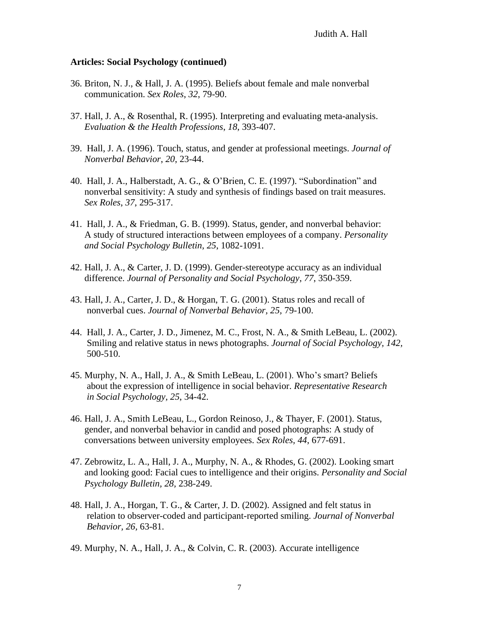- 36. Briton, N. J., & Hall, J. A. (1995). Beliefs about female and male nonverbal communication. *Sex Roles*, *32*, 79-90.
- 37. Hall, J. A., & Rosenthal, R. (1995). Interpreting and evaluating meta-analysis. *Evaluation & the Health Professions*, *18*, 393-407.
- 39. Hall, J. A. (1996). Touch, status, and gender at professional meetings. *Journal of Nonverbal Behavior*, *20*, 23-44.
- 40. Hall, J. A., Halberstadt, A. G., & O'Brien, C. E. (1997). "Subordination" and nonverbal sensitivity: A study and synthesis of findings based on trait measures. *Sex Roles*, *37*, 295-317.
- 41. Hall, J. A., & Friedman, G. B. (1999). Status, gender, and nonverbal behavior: A study of structured interactions between employees of a company. *Personality and Social Psychology Bulletin*, *25*, 1082-1091.
- 42. Hall, J. A., & Carter, J. D. (1999). Gender-stereotype accuracy as an individual difference. *Journal of Personality and Social Psychology*, *77*, 350-359.
- 43. Hall, J. A., Carter, J. D., & Horgan, T. G. (2001). Status roles and recall of nonverbal cues. *Journal of Nonverbal Behavior, 25,* 79-100.
- 44. Hall, J. A., Carter, J. D., Jimenez, M. C., Frost, N. A., & Smith LeBeau, L. (2002). Smiling and relative status in news photographs. *Journal of Social Psychology, 142,* 500-510.
- 45. Murphy, N. A., Hall, J. A., & Smith LeBeau, L. (2001). Who's smart? Beliefs about the expression of intelligence in social behavior. *Representative Research in Social Psychology, 25*, 34-42.
- 46. Hall, J. A., Smith LeBeau, L., Gordon Reinoso, J., & Thayer, F. (2001). Status, gender, and nonverbal behavior in candid and posed photographs: A study of conversations between university employees. *Sex Roles, 44*, 677-691.
- 47. Zebrowitz, L. A., Hall, J. A., Murphy, N. A., & Rhodes, G. (2002). Looking smart and looking good: Facial cues to intelligence and their origins. *Personality and Social Psychology Bulletin, 28,* 238-249.
- 48. Hall, J. A., Horgan, T. G., & Carter, J. D. (2002). Assigned and felt status in relation to observer-coded and participant-reported smiling. *Journal of Nonverbal Behavior, 26,* 63-81.
- 49. Murphy, N. A., Hall, J. A., & Colvin, C. R. (2003). Accurate intelligence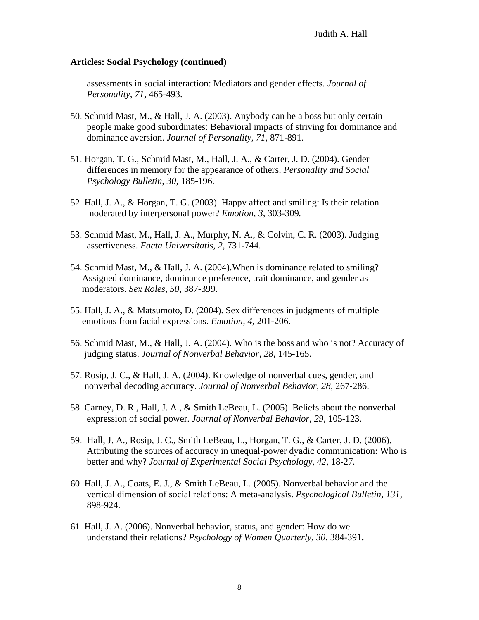assessments in social interaction: Mediators and gender effects. *Journal of Personality, 71,* 465-493.

- 50. Schmid Mast, M., & Hall, J. A. (2003). Anybody can be a boss but only certain people make good subordinates: Behavioral impacts of striving for dominance and dominance aversion. *Journal of Personality, 71,* 871-891.
- 51. Horgan, T. G., Schmid Mast, M., Hall, J. A., & Carter, J. D. (2004). Gender differences in memory for the appearance of others. *Personality and Social Psychology Bulletin, 30,* 185-196.
- 52. Hall, J. A., & Horgan, T. G. (2003). Happy affect and smiling: Is their relation moderated by interpersonal power? *Emotion, 3,* 303-309*.*
- 53. Schmid Mast, M., Hall, J. A., Murphy, N. A., & Colvin, C. R. (2003). Judging assertiveness. *Facta Universitatis, 2,* 731-744.
- 54. Schmid Mast, M., & Hall, J. A. (2004).When is dominance related to smiling? Assigned dominance, dominance preference, trait dominance, and gender as moderators. *Sex Roles, 50*, 387-399.
- 55. Hall, J. A., & Matsumoto, D. (2004). Sex differences in judgments of multiple emotions from facial expressions. *Emotion, 4,* 201-206.
- 56. Schmid Mast, M., & Hall, J. A. (2004). Who is the boss and who is not? Accuracy of judging status. *Journal of Nonverbal Behavior, 28,* 145-165.
- 57. Rosip, J. C., & Hall, J. A. (2004). Knowledge of nonverbal cues, gender, and nonverbal decoding accuracy. *Journal of Nonverbal Behavior, 28,* 267-286.
- 58. Carney, D. R., Hall, J. A., & Smith LeBeau, L. (2005). Beliefs about the nonverbal expression of social power. *Journal of Nonverbal Behavior, 29,* 105-123.
- 59. Hall, J. A., Rosip, J. C., Smith LeBeau, L., Horgan, T. G., & Carter, J. D. (2006). Attributing the sources of accuracy in unequal-power dyadic communication: Who is better and why? *Journal of Experimental Social Psychology*, *42*, 18-27*.*
- 60. Hall, J. A., Coats, E. J., & Smith LeBeau, L. (2005). Nonverbal behavior and the vertical dimension of social relations: A meta-analysis. *Psychological Bulletin, 131,* 898-924.
- 61. Hall, J. A. (2006). Nonverbal behavior, status, and gender: How do we understand their relations? *Psychology of Women Quarterly, 30,* 384-391**.**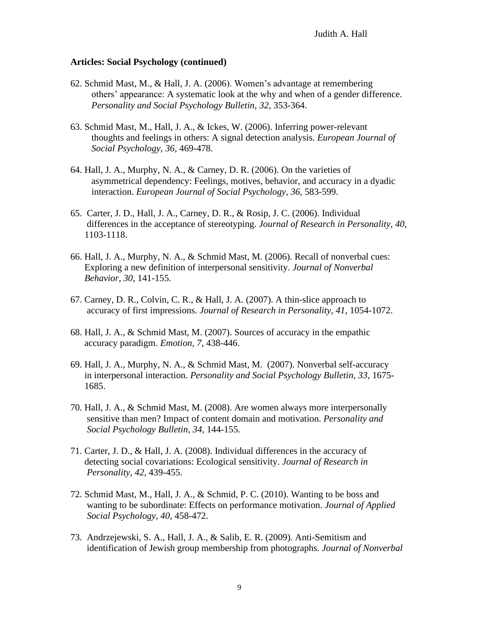- 62. Schmid Mast, M., & Hall, J. A. (2006). Women's advantage at remembering others' appearance: A systematic look at the why and when of a gender difference. *Personality and Social Psychology Bulletin, 32,* 353-364.
- 63. Schmid Mast, M., Hall, J. A., & Ickes, W. (2006). Inferring power-relevant thoughts and feelings in others: A signal detection analysis. *European Journal of Social Psychology, 36,* 469-478.
- 64. Hall, J. A., Murphy, N. A., & Carney, D. R. (2006). On the varieties of asymmetrical dependency: Feelings, motives, behavior, and accuracy in a dyadic interaction. *European Journal of Social Psychology, 36,* 583-599.
- 65. Carter, J. D., Hall, J. A., Carney, D. R., & Rosip, J. C. (2006). Individual differences in the acceptance of stereotyping. *Journal of Research in Personality, 40,*  1103-1118.
- 66. Hall, J. A., Murphy, N. A., & Schmid Mast, M. (2006). Recall of nonverbal cues: Exploring a new definition of interpersonal sensitivity. *Journal of Nonverbal Behavior, 30,* 141-155*.*
- 67. Carney, D. R., Colvin, C. R., & Hall, J. A. (2007). A thin-slice approach to accuracy of first impressions. *Journal of Research in Personality, 41,* 1054-1072.
- 68. Hall, J. A., & Schmid Mast, M. (2007). Sources of accuracy in the empathic accuracy paradigm. *Emotion, 7,* 438-446.
- 69. Hall, J. A., Murphy, N. A., & Schmid Mast, M. (2007). Nonverbal self-accuracy in interpersonal interaction. *Personality and Social Psychology Bulletin, 33,* 1675- 1685.
- 70. Hall, J. A., & Schmid Mast, M. (2008). Are women always more interpersonally sensitive than men? Impact of content domain and motivation. *Personality and Social Psychology Bulletin, 34,* 144-155*.*
- 71. Carter, J. D., & Hall, J. A. (2008). Individual differences in the accuracy of detecting social covariations: Ecological sensitivity. *Journal of Research in Personality, 42,* 439-455.
- 72. Schmid Mast, M., Hall, J. A., & Schmid, P. C. (2010). Wanting to be boss and wanting to be subordinate: Effects on performance motivation. *Journal of Applied Social Psychology, 40,* 458-472.
- 73. Andrzejewski, S. A., Hall, J. A., & Salib, E. R. (2009). Anti-Semitism and identification of Jewish group membership from photographs. *Journal of Nonverbal*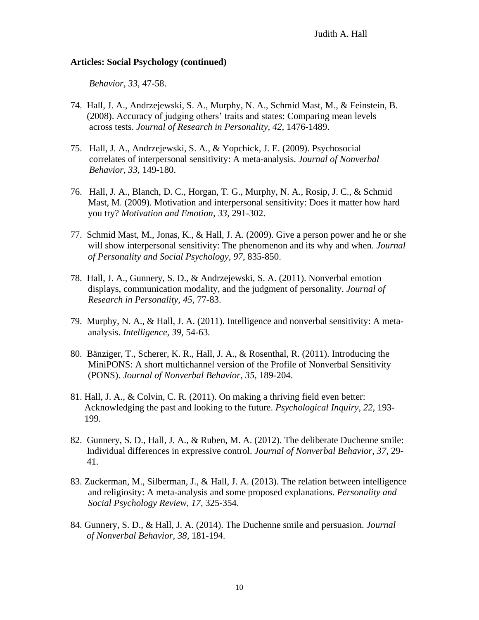*Behavior, 33,* 47-58.

- 74. Hall, J. A., Andrzejewski, S. A., Murphy, N. A., Schmid Mast, M., & Feinstein, B. (2008). Accuracy of judging others' traits and states: Comparing mean levels across tests. *Journal of Research in Personality, 42,* 1476-1489.
- 75. Hall, J. A., Andrzejewski, S. A., & Yopchick, J. E. (2009). Psychosocial correlates of interpersonal sensitivity: A meta-analysis. *Journal of Nonverbal Behavior, 33,* 149-180.
- 76. Hall, J. A., Blanch, D. C., Horgan, T. G., Murphy, N. A., Rosip, J. C., & Schmid Mast, M. (2009). Motivation and interpersonal sensitivity: Does it matter how hard you try? *Motivation and Emotion, 33,* 291-302.
- 77. Schmid Mast, M., Jonas, K., & Hall, J. A. (2009). Give a person power and he or she will show interpersonal sensitivity: The phenomenon and its why and when. *Journal of Personality and Social Psychology, 97*, 835-850.
- 78. Hall, J. A., Gunnery, S. D., & Andrzejewski, S. A. (2011). Nonverbal emotion displays, communication modality, and the judgment of personality. *Journal of Research in Personality, 45,* 77-83.
- 79. Murphy, N. A., & Hall, J. A. (2011). Intelligence and nonverbal sensitivity: A metaanalysis. *Intelligence, 39,* 54-63*.*
- 80. Bänziger, T., Scherer, K. R., Hall, J. A., & Rosenthal, R. (2011). Introducing the MiniPONS: A short multichannel version of the Profile of Nonverbal Sensitivity (PONS). *Journal of Nonverbal Behavior, 35,* 189-204.
- 81. Hall, J. A., & Colvin, C. R. (2011). On making a thriving field even better: Acknowledging the past and looking to the future. *Psychological Inquiry, 22*, 193- 199.
- 82. Gunnery, S. D., Hall, J. A., & Ruben, M. A. (2012). The deliberate Duchenne smile: Individual differences in expressive control. *Journal of Nonverbal Behavior, 37,* 29- 41.
- 83. Zuckerman, M., Silberman, J., & Hall, J. A. (2013). The relation between intelligence and religiosity: A meta-analysis and some proposed explanations. *Personality and Social Psychology Review, 17,* 325-354.
- 84. Gunnery, S. D., & Hall, J. A. (2014). The Duchenne smile and persuasion. *Journal of Nonverbal Behavior, 38,* 181-194.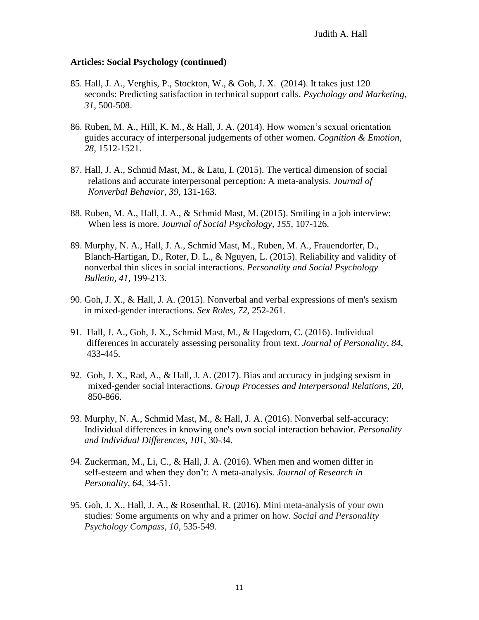- 85. Hall, J. A., Verghis, P., Stockton, W., & Goh, J. X. (2014). It takes just 120 seconds: Predicting satisfaction in technical support calls. *Psychology and Marketing, 31,* 500-508.
- 86. Ruben, M. A., Hill, K. M., & Hall, J. A. (2014). How women's sexual orientation guides accuracy of interpersonal judgements of other women. *Cognition & Emotion, 28,* 1512-1521.
- 87. Hall, J. A., Schmid Mast, M., & Latu, I. (2015). The vertical dimension of social relations and accurate interpersonal perception: A meta-analysis. *Journal of Nonverbal Behavior, 39,* 131-163.
- 88. Ruben, M. A., Hall, J. A., & Schmid Mast, M. (2015). Smiling in a job interview: When less is more. *Journal of Social Psychology, 155,* 107-126.
- 89. Murphy, N. A., Hall, J. A., Schmid Mast, M., Ruben, M. A., Frauendorfer, D., Blanch-Hartigan, D., Roter, D. L., & Nguyen, L. (2015). Reliability and validity of nonverbal thin slices in social interactions. *Personality and Social Psychology Bulletin, 41,* 199-213.
- 90. Goh, J. X., & Hall, J. A. (2015). Nonverbal and verbal expressions of men's sexism in mixed-gender interactions*. Sex Roles, 72,* 252-261*.*
- 91. Hall, J. A., Goh, J. X., Schmid Mast, M., & Hagedorn, C. (2016). Individual differences in accurately assessing personality from text. *Journal of Personality, 84,* 433-445.
- 92. Goh, J. X., Rad, A., & Hall, J. A. (2017). Bias and accuracy in judging sexism in mixed-gender social interactions. *Group Processes and Interpersonal Relations, 20,*  850-866.
- 93. Murphy, N. A., Schmid Mast, M., & Hall, J. A. (2016). Nonverbal self-accuracy: Individual differences in knowing one's own social interaction behavior. *Personality and Individual Differences, 101,* 30-34.
- 94. Zuckerman, M., Li, C., & Hall, J. A. (2016). When men and women differ in self-esteem and when they don't: A meta-analysis. *Journal of Research in Personality, 64,* 34-51.
- 95. Goh, J. X., Hall, J. A., & Rosenthal, R. (2016). Mini meta-analysis of your own studies: Some arguments on why and a primer on how. *Social and Personality Psychology Compass, 10,* 535-549.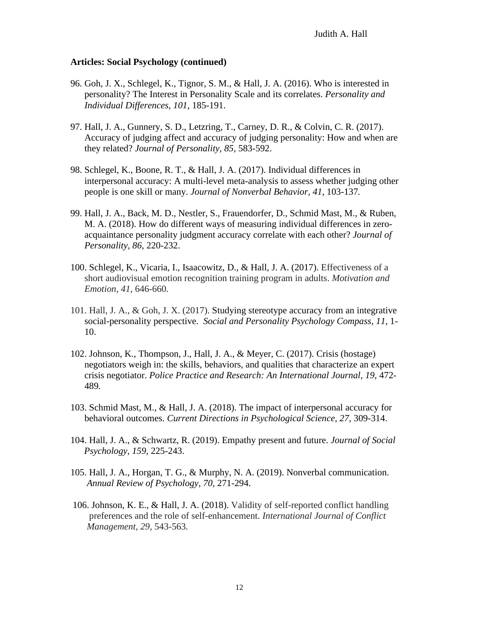- 96. Goh, J. X., Schlegel, K., Tignor, S. M., & Hall, J. A. (2016). Who is interested in personality? The Interest in Personality Scale and its correlates. *Personality and Individual Differences, 101*, 185-191.
- 97. Hall, J. A., Gunnery, S. D., Letzring, T., Carney, D. R., & Colvin, C. R. (2017). Accuracy of judging affect and accuracy of judging personality: How and when are they related? *Journal of Personality, 85,* 583-592.
- 98. Schlegel, K., Boone, R. T., & Hall, J. A. (2017). Individual differences in interpersonal accuracy: A multi-level meta-analysis to assess whether judging other people is one skill or many. *Journal of Nonverbal Behavior, 41,* 103-137*.*
- 99. Hall, J. A., Back, M. D., Nestler, S., Frauendorfer, D., Schmid Mast, M., & Ruben, M. A. (2018). How do different ways of measuring individual differences in zeroacquaintance personality judgment accuracy correlate with each other? *Journal of Personality, 86,* 220-232.
- 100. Schlegel, K., Vicaria, I., Isaacowitz, D., & Hall, J. A. (2017). Effectiveness of a short audiovisual emotion recognition training program in adults. *Motivation and Emotion, 41,* 646-660*.*
- 101. Hall, J. A., & Goh, J. X. (2017). Studying stereotype accuracy from an integrative social-personality perspective. *Social and Personality Psychology Compass, 11,* 1- 10.
- 102. Johnson, K., Thompson, J., Hall, J. A., & Meyer, C. (2017). Crisis (hostage) negotiators weigh in: the skills, behaviors, and qualities that characterize an expert crisis negotiator. *Police Practice and Research: An International Journal, 19,* 472- 489*.*
- 103. Schmid Mast, M., & Hall, J. A. (2018). The impact of interpersonal accuracy for behavioral outcomes. *Current Directions in Psychological Science, 27,* 309-314.
- 104. Hall, J. A., & Schwartz, R. (2019). Empathy present and future. *Journal of Social Psychology, 159,* 225-243.
- 105. Hall, J. A., Horgan, T. G., & Murphy, N. A. (2019). Nonverbal communication. *Annual Review of Psychology, 70,* 271-294.
- 106. Johnson, K. E., & Hall, J. A. (2018). Validity of self-reported conflict handling preferences and the role of self-enhancement. *International Journal of Conflict Management, 29,* 543-563*.*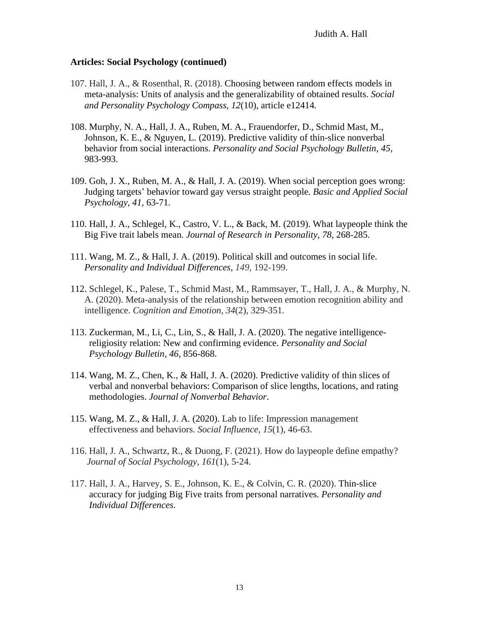- 107. Hall, J. A., & Rosenthal, R. (2018). Choosing between random effects models in meta-analysis: Units of analysis and the generalizability of obtained results. *Social and Personality Psychology Compass, 12*(10), article e12414*.*
- 108. Murphy, N. A., Hall, J. A., Ruben, M. A., Frauendorfer, D., Schmid Mast, M., Johnson, K. E., & Nguyen, L. (2019). Predictive validity of thin-slice nonverbal behavior from social interactions. *Personality and Social Psychology Bulletin, 45,*  983-993.
- 109. Goh, J. X., Ruben, M. A., & Hall, J. A. (2019). When social perception goes wrong: Judging targets' behavior toward gay versus straight people. *Basic and Applied Social Psychology, 41,* 63-71*.*
- 110. Hall, J. A., Schlegel, K., Castro, V. L., & Back, M. (2019). What laypeople think the Big Five trait labels mean. *Journal of Research in Personality, 78,* 268-285.
- 111. Wang, M. Z., & Hall, J. A. (2019). Political skill and outcomes in social life. *Personality and Individual Differences, 149,* 192-199.
- 112. Schlegel, K., Palese, T., Schmid Mast, M., Rammsayer, T., Hall, J. A., & Murphy, N. A. (2020). Meta-analysis of the relationship between emotion recognition ability and intelligence. *Cognition and Emotion, 34*(2), 329-351*.*
- 113. Zuckerman, M., Li, C., Lin, S., & Hall, J. A. (2020). The negative intelligence religiosity relation: New and confirming evidence. *Personality and Social Psychology Bulletin, 46,* 856-868.
- 114. Wang, M. Z., Chen, K., & Hall, J. A. (2020). Predictive validity of thin slices of verbal and nonverbal behaviors: Comparison of slice lengths, locations, and rating methodologies. *Journal of Nonverbal Behavior*.
- 115. Wang, M. Z., & Hall, J. A. (2020). Lab to life: Impression management effectiveness and behaviors. *Social Influence, 15*(1), 46-63.
- 116. Hall, J. A., Schwartz, R., & Duong, F. (2021). How do laypeople define empathy?  *Journal of Social Psychology, 161*(1), 5-24.
- 117. Hall, J. A., Harvey, S. E., Johnson, K. E., & Colvin, C. R. (2020). Thin-slice accuracy for judging Big Five traits from personal narratives. *Personality and Individual Differences*.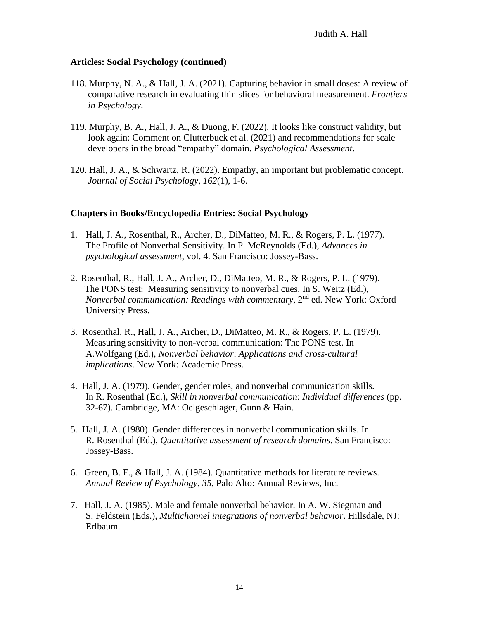- 118. Murphy, N. A., & Hall, J. A. (2021). Capturing behavior in small doses: A review of comparative research in evaluating thin slices for behavioral measurement. *Frontiers in Psychology*.
- 119. Murphy, B. A., Hall, J. A., & Duong, F. (2022). It looks like construct validity, but look again: Comment on Clutterbuck et al. (2021) and recommendations for scale developers in the broad "empathy" domain. *Psychological Assessment*.
- 120. Hall, J. A., & Schwartz, R. (2022). Empathy, an important but problematic concept. *Journal of Social Psychology, 162*(1), 1-6.

## **Chapters in Books/Encyclopedia Entries: Social Psychology**

- 1. Hall, J. A., Rosenthal, R., Archer, D., DiMatteo, M. R., & Rogers, P. L. (1977). The Profile of Nonverbal Sensitivity. In P. McReynolds (Ed.), *Advances in psychological assessment*, vol. 4. San Francisco: Jossey-Bass.
- 2. Rosenthal, R., Hall, J. A., Archer, D., DiMatteo, M. R., & Rogers, P. L. (1979). The PONS test: Measuring sensitivity to nonverbal cues. In S. Weitz (Ed.), *Nonverbal communication: Readings with commentary, 2<sup>nd</sup> ed. New York: Oxford* University Press.
- 3. Rosenthal, R., Hall, J. A., Archer, D., DiMatteo, M. R., & Rogers, P. L. (1979). Measuring sensitivity to non-verbal communication: The PONS test. In A.Wolfgang (Ed.), *Nonverbal behavior*: *Applications and cross-cultural implications*. New York: Academic Press.
- 4. Hall, J. A. (1979). Gender, gender roles, and nonverbal communication skills. In R. Rosenthal (Ed.), *Skill in nonverbal communication*: *Individual differences* (pp. 32-67). Cambridge, MA: Oelgeschlager, Gunn & Hain.
- 5. Hall, J. A. (1980). Gender differences in nonverbal communication skills. In R. Rosenthal (Ed.), *Quantitative assessment of research domains*. San Francisco: Jossey-Bass.
- 6. Green, B. F., & Hall, J. A. (1984). Quantitative methods for literature reviews. *Annual Review of Psychology*, *35*, Palo Alto: Annual Reviews, Inc.
- 7. Hall, J. A. (1985). Male and female nonverbal behavior. In A. W. Siegman and S. Feldstein (Eds.), *Multichannel integrations of nonverbal behavior*. Hillsdale, NJ: Erlbaum.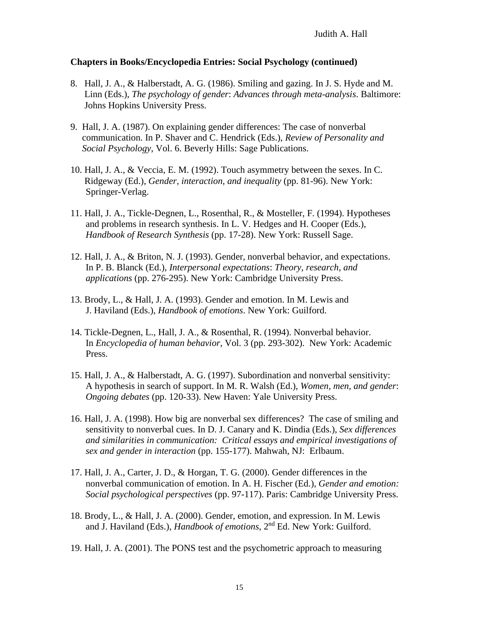- 8. Hall, J. A., & Halberstadt, A. G. (1986). Smiling and gazing. In J. S. Hyde and M. Linn (Eds.), *The psychology of gender*: *Advances through meta-analysis*. Baltimore: Johns Hopkins University Press.
- 9. Hall, J. A. (1987). On explaining gender differences: The case of nonverbal communication. In P. Shaver and C. Hendrick (Eds.), *Review of Personality and Social Psychology*, Vol. 6. Beverly Hills: Sage Publications.
- 10. Hall, J. A., & Veccia, E. M. (1992). Touch asymmetry between the sexes. In C. Ridgeway (Ed.), *Gender, interaction, and inequality* (pp. 81-96). New York: Springer-Verlag.
- 11. Hall, J. A., Tickle-Degnen, L., Rosenthal, R., & Mosteller, F. (1994). Hypotheses and problems in research synthesis. In L. V. Hedges and H. Cooper (Eds.), *Handbook of Research Synthesis* (pp. 17-28). New York: Russell Sage.
- 12. Hall, J. A., & Briton, N. J. (1993). Gender, nonverbal behavior, and expectations. In P. B. Blanck (Ed.), *Interpersonal expectations*: *Theory, research, and applications* (pp. 276-295). New York: Cambridge University Press.
- 13. Brody, L., & Hall, J. A. (1993). Gender and emotion. In M. Lewis and J. Haviland (Eds.), *Handbook of emotions*. New York: Guilford.
- 14. Tickle-Degnen, L., Hall, J. A., & Rosenthal, R. (1994). Nonverbal behavior. In *Encyclopedia of human behavior*, Vol. 3 (pp. 293-302). New York: Academic Press.
- 15. Hall, J. A., & Halberstadt, A. G. (1997). Subordination and nonverbal sensitivity: A hypothesis in search of support. In M. R. Walsh (Ed.), *Women, men, and gender*: *Ongoing debates* (pp. 120-33). New Haven: Yale University Press.
- 16. Hall, J. A. (1998). How big are nonverbal sex differences? The case of smiling and sensitivity to nonverbal cues. In D. J. Canary and K. Dindia (Eds.), *Sex differences and similarities in communication: Critical essays and empirical investigations of sex and gender in interaction* (pp. 155-177). Mahwah, NJ: Erlbaum.
- 17. Hall, J. A., Carter, J. D., & Horgan, T. G. (2000). Gender differences in the nonverbal communication of emotion. In A. H. Fischer (Ed.), *Gender and emotion: Social psychological perspectives* (pp. 97-117). Paris: Cambridge University Press.
- 18. Brody, L., & Hall, J. A. (2000). Gender, emotion, and expression. In M. Lewis and J. Haviland (Eds.), *Handbook of emotions*, 2nd Ed. New York: Guilford.
- 19. Hall, J. A. (2001). The PONS test and the psychometric approach to measuring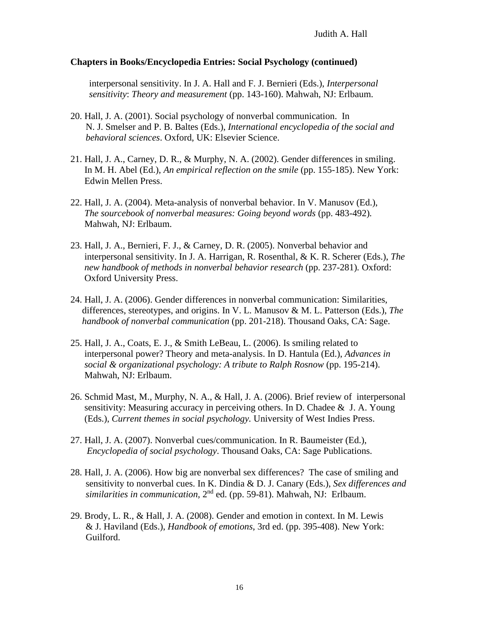interpersonal sensitivity. In J. A. Hall and F. J. Bernieri (Eds.), *Interpersonal sensitivity*: *Theory and measurement* (pp. 143-160). Mahwah, NJ: Erlbaum.

- 20. Hall, J. A. (2001). Social psychology of nonverbal communication. In N. J. Smelser and P. B. Baltes (Eds.), *International encyclopedia of the social and behavioral sciences*. Oxford, UK: Elsevier Science.
- 21. Hall, J. A., Carney, D. R., & Murphy, N. A. (2002). Gender differences in smiling. In M. H. Abel (Ed.), *An empirical reflection on the smile* (pp. 155-185). New York: Edwin Mellen Press.
- 22. Hall, J. A. (2004). Meta-analysis of nonverbal behavior. In V. Manusov (Ed.), *The sourcebook of nonverbal measures: Going beyond words* (pp. 483-492)*.*  Mahwah, NJ: Erlbaum.
- 23. Hall, J. A., Bernieri, F. J., & Carney, D. R. (2005). Nonverbal behavior and interpersonal sensitivity. In J. A. Harrigan, R. Rosenthal, & K. R. Scherer (Eds.), *The new handbook of methods in nonverbal behavior research* (pp. 237-281)*.* Oxford: Oxford University Press.
- 24. Hall, J. A. (2006). Gender differences in nonverbal communication: Similarities, differences, stereotypes, and origins. In V. L. Manusov & M. L. Patterson (Eds.), *The handbook of nonverbal communication* (pp. 201-218). Thousand Oaks, CA: Sage.
- 25. Hall, J. A., Coats, E. J., & Smith LeBeau, L. (2006). Is smiling related to interpersonal power? Theory and meta-analysis. In D. Hantula (Ed.), *Advances in social & organizational psychology: A tribute to Ralph Rosnow* (pp. 195-214). Mahwah, NJ: Erlbaum.
- 26. Schmid Mast, M., Murphy, N. A., & Hall, J. A. (2006). Brief review of interpersonal sensitivity: Measuring accuracy in perceiving others. In D. Chadee  $\&$  J. A. Young (Eds.), *Current themes in social psychology.* University of West Indies Press.
- 27. Hall, J. A. (2007). Nonverbal cues/communication. In R. Baumeister (Ed.),  *Encyclopedia of social psychology*. Thousand Oaks, CA: Sage Publications.
- 28. Hall, J. A. (2006). How big are nonverbal sex differences? The case of smiling and sensitivity to nonverbal cues. In K. Dindia & D. J. Canary (Eds.), *Sex differences and*  similarities in communication, 2<sup>nd</sup> ed. (pp. 59-81). Mahwah, NJ: Erlbaum.
- 29. Brody, L. R., & Hall, J. A. (2008). Gender and emotion in context. In M. Lewis & J. Haviland (Eds.), *Handbook of emotions*, 3rd ed. (pp. 395-408). New York: Guilford.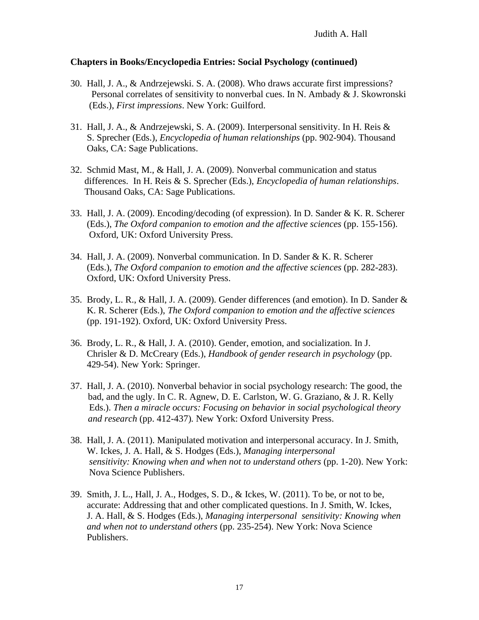- 30. Hall, J. A., & Andrzejewski. S. A. (2008). Who draws accurate first impressions? Personal correlates of sensitivity to nonverbal cues. In N. Ambady & J. Skowronski (Eds.), *First impressions*. New York: Guilford.
- 31. Hall, J. A., & Andrzejewski, S. A. (2009). Interpersonal sensitivity. In H. Reis & S. Sprecher (Eds.), *Encyclopedia of human relationships* (pp. 902-904). Thousand Oaks, CA: Sage Publications.
- 32. Schmid Mast, M., & Hall, J. A. (2009). Nonverbal communication and status differences. In H. Reis & S. Sprecher (Eds.), *Encyclopedia of human relationships*. Thousand Oaks, CA: Sage Publications.
- 33. Hall, J. A. (2009). Encoding/decoding (of expression). In D. Sander & K. R. Scherer (Eds.), *The Oxford companion to emotion and the affective sciences* (pp. 155-156). Oxford, UK: Oxford University Press.
- 34. Hall, J. A. (2009). Nonverbal communication. In D. Sander & K. R. Scherer (Eds.), *The Oxford companion to emotion and the affective sciences* (pp. 282-283). Oxford, UK: Oxford University Press.
- 35. Brody, L. R., & Hall, J. A. (2009). Gender differences (and emotion). In D. Sander & K. R. Scherer (Eds.), *The Oxford companion to emotion and the affective sciences* (pp. 191-192). Oxford, UK: Oxford University Press.
- 36. Brody, L. R., & Hall, J. A. (2010). Gender, emotion, and socialization. In J. Chrisler & D. McCreary (Eds.), *Handbook of gender research in psychology* (pp. 429-54). New York: Springer.
- 37. Hall, J. A. (2010). Nonverbal behavior in social psychology research: The good, the bad, and the ugly. In C. R. Agnew, D. E. Carlston, W. G. Graziano, & J. R. Kelly Eds.). *Then a miracle occurs: Focusing on behavior in social psychological theory and research* (pp. 412-437)*.* New York: Oxford University Press.
- 38. Hall, J. A. (2011). Manipulated motivation and interpersonal accuracy. In J. Smith, W. Ickes, J. A. Hall, & S. Hodges (Eds.), *Managing interpersonal sensitivity: Knowing when and when not to understand others* (pp. 1-20). New York: Nova Science Publishers.
- 39. Smith, J. L., Hall, J. A., Hodges, S. D., & Ickes, W. (2011). To be, or not to be, accurate: Addressing that and other complicated questions. In J. Smith, W. Ickes, J. A. Hall, & S. Hodges (Eds.), *Managing interpersonal sensitivity: Knowing when and when not to understand others* (pp. 235-254). New York: Nova Science Publishers.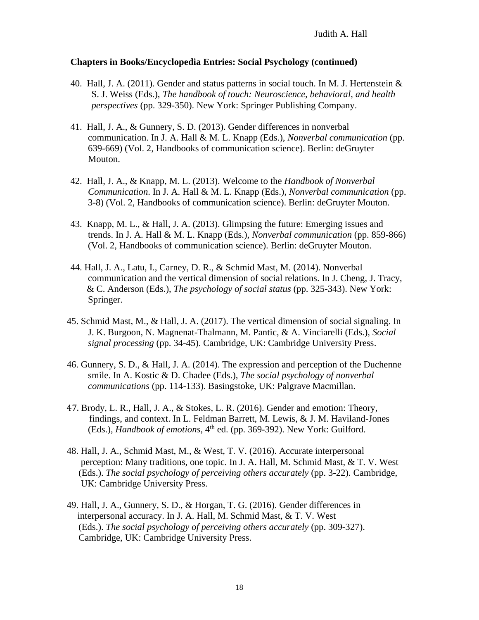- 40. Hall, J. A. (2011). Gender and status patterns in social touch. In M. J. Hertenstein  $\&$  S. J. Weiss (Eds.), *The handbook of touch: Neuroscience, behavioral, and health perspectives* (pp. 329-350). New York: Springer Publishing Company.
- 41. Hall, J. A., & Gunnery, S. D. (2013). Gender differences in nonverbal communication. In J. A. Hall & M. L. Knapp (Eds.), *Nonverbal communication* (pp. 639-669) (Vol. 2, Handbooks of communication science). Berlin: deGruyter Mouton.
- 42. Hall, J. A., & Knapp, M. L. (2013). Welcome to the *Handbook of Nonverbal Communication*. In J. A. Hall & M. L. Knapp (Eds.), *Nonverbal communication* (pp. 3-8) (Vol. 2, Handbooks of communication science). Berlin: deGruyter Mouton.
- 43. Knapp, M. L., & Hall, J. A. (2013). Glimpsing the future: Emerging issues and trends. In J. A. Hall & M. L. Knapp (Eds.), *Nonverbal communication* (pp. 859-866) (Vol. 2, Handbooks of communication science). Berlin: deGruyter Mouton.
- 44. Hall, J. A., Latu, I., Carney, D. R., & Schmid Mast, M. (2014). Nonverbal communication and the vertical dimension of social relations. In J. Cheng, J. Tracy, & C. Anderson (Eds.), *The psychology of social status* (pp. 325-343). New York: Springer.
- 45. Schmid Mast, M., & Hall, J. A. (2017). The vertical dimension of social signaling. In J. K. Burgoon, N. Magnenat-Thalmann, M. Pantic, & A. Vinciarelli (Eds.), *Social signal processing* (pp. 34-45). Cambridge, UK: Cambridge University Press.
- 46. Gunnery, S. D., & Hall, J. A. (2014). The expression and perception of the Duchenne smile. In A. Kostic & D. Chadee (Eds.), *The social psychology of nonverbal communications* (pp. 114-133). Basingstoke, UK: Palgrave Macmillan.
- 47. Brody, L. R., Hall, J. A., & Stokes, L. R. (2016). Gender and emotion: Theory, findings, and context. In L. Feldman Barrett, M. Lewis, & J. M. Haviland-Jones (Eds.), *Handbook of emotions*, 4<sup>th</sup> ed. (pp. 369-392). New York: Guilford.
- 48. Hall, J. A., Schmid Mast, M., & West, T. V. (2016). Accurate interpersonal perception: Many traditions, one topic. In J. A. Hall, M. Schmid Mast, & T. V. West (Eds.). *The social psychology of perceiving others accurately* (pp. 3-22). Cambridge, UK: Cambridge University Press.
- 49. Hall, J. A., Gunnery, S. D., & Horgan, T. G. (2016). Gender differences in interpersonal accuracy. In J. A. Hall, M. Schmid Mast, & T. V. West (Eds.). *The social psychology of perceiving others accurately* (pp. 309-327). Cambridge, UK: Cambridge University Press.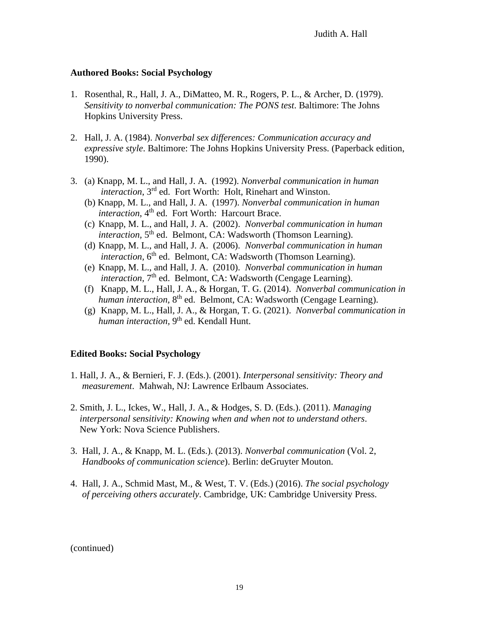## **Authored Books: Social Psychology**

- 1. Rosenthal, R., Hall, J. A., DiMatteo, M. R., Rogers, P. L., & Archer, D. (1979). *Sensitivity to nonverbal communication: The PONS test*. Baltimore: The Johns Hopkins University Press.
- 2. Hall, J. A. (1984). *Nonverbal sex differences: Communication accuracy and expressive style*. Baltimore: The Johns Hopkins University Press. (Paperback edition, 1990).
- 3. (a) Knapp, M. L., and Hall, J. A. (1992). *Nonverbal communication in human interaction*, 3rd ed. Fort Worth: Holt, Rinehart and Winston.
	- (b) Knapp, M. L., and Hall, J. A. (1997). *Nonverbal communication in human interaction*, 4<sup>th</sup> ed. Fort Worth: Harcourt Brace.
	- (c) Knapp, M. L., and Hall, J. A. (2002). *Nonverbal communication in human* interaction, 5<sup>th</sup> ed. Belmont, CA: Wadsworth (Thomson Learning).
	- (d) Knapp, M. L., and Hall, J. A. (2006). *Nonverbal communication in human* interaction, 6<sup>th</sup> ed. Belmont, CA: Wadsworth (Thomson Learning).
	- (e) Knapp, M. L., and Hall, J. A. (2010). *Nonverbal communication in human interaction,* 7<sup>th</sup> ed. Belmont, CA: Wadsworth (Cengage Learning).
	- (f) Knapp, M. L., Hall, J. A., & Horgan, T. G. (2014). *Nonverbal communication in*  human *interaction*, 8<sup>th</sup> ed. Belmont, CA: Wadsworth (Cengage Learning).
	- (g) Knapp, M. L., Hall, J. A., & Horgan, T. G. (2021). *Nonverbal communication in*  human interaction, 9<sup>th</sup> ed. Kendall Hunt.

#### **Edited Books: Social Psychology**

- 1. Hall, J. A., & Bernieri, F. J. (Eds.). (2001). *Interpersonal sensitivity: Theory and measurement*. Mahwah, NJ: Lawrence Erlbaum Associates.
- 2. Smith, J. L., Ickes, W., Hall, J. A., & Hodges, S. D. (Eds.). (2011). *Managing interpersonal sensitivity: Knowing when and when not to understand others*. New York: Nova Science Publishers.
- 3. Hall, J. A., & Knapp, M. L. (Eds.). (2013). *Nonverbal communication* (Vol. 2, *Handbooks of communication science*). Berlin: deGruyter Mouton.
- 4. Hall, J. A., Schmid Mast, M., & West, T. V. (Eds.) (2016). *The social psychology of perceiving others accurately*. Cambridge, UK: Cambridge University Press.

(continued)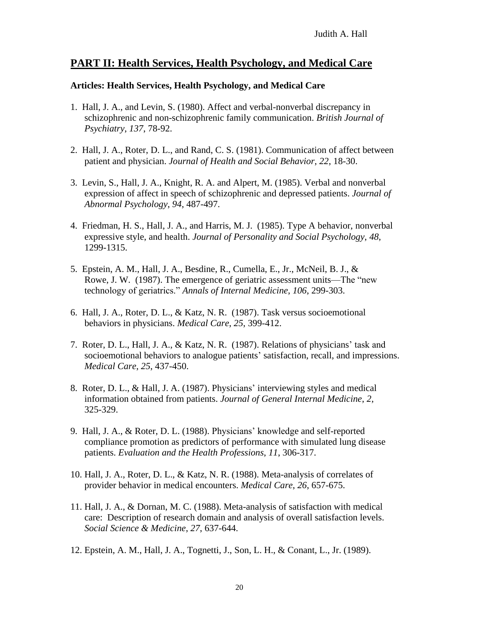# **PART II: Health Services, Health Psychology, and Medical Care**

### **Articles: Health Services, Health Psychology, and Medical Care**

- 1. Hall, J. A., and Levin, S. (1980). Affect and verbal-nonverbal discrepancy in schizophrenic and non-schizophrenic family communication. *British Journal of Psychiatry*, *137*, 78-92.
- 2. Hall, J. A., Roter, D. L., and Rand, C. S. (1981). Communication of affect between patient and physician. *Journal of Health and Social Behavior*, *22*, 18-30.
- 3. Levin, S., Hall, J. A., Knight, R. A. and Alpert, M. (1985). Verbal and nonverbal expression of affect in speech of schizophrenic and depressed patients. *Journal of Abnormal Psychology*, *94*, 487-497.
- 4. Friedman, H. S., Hall, J. A., and Harris, M. J. (1985). Type A behavior, nonverbal expressive style, and health. *Journal of Personality and Social Psychology*, *48*, 1299-1315.
- 5. Epstein, A. M., Hall, J. A., Besdine, R., Cumella, E., Jr., McNeil, B. J., & Rowe, J. W. (1987). The emergence of geriatric assessment units—The "new technology of geriatrics." *Annals of Internal Medicine*, *106*, 299-303.
- 6. Hall, J. A., Roter, D. L., & Katz, N. R. (1987). Task versus socioemotional behaviors in physicians. *Medical Care*, *25*, 399-412.
- 7. Roter, D. L., Hall, J. A., & Katz, N. R. (1987). Relations of physicians' task and socioemotional behaviors to analogue patients' satisfaction, recall, and impressions. *Medical Care*, *25*, 437-450.
- 8. Roter, D. L., & Hall, J. A. (1987). Physicians' interviewing styles and medical information obtained from patients. *Journal of General Internal Medicine*, *2*, 325-329.
- 9. Hall, J. A., & Roter, D. L. (1988). Physicians' knowledge and self-reported compliance promotion as predictors of performance with simulated lung disease patients. *Evaluation and the Health Professions*, *11*, 306-317.
- 10. Hall, J. A., Roter, D. L., & Katz, N. R. (1988). Meta-analysis of correlates of provider behavior in medical encounters. *Medical Care*, *26*, 657-675.
- 11. Hall, J. A., & Dornan, M. C. (1988). Meta-analysis of satisfaction with medical care: Description of research domain and analysis of overall satisfaction levels. *Social Science & Medicine*, *27*, 637-644.
- 12. Epstein, A. M., Hall, J. A., Tognetti, J., Son, L. H., & Conant, L., Jr. (1989).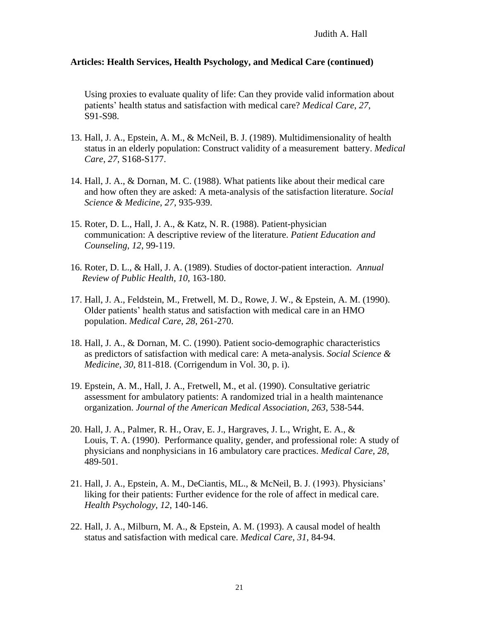Using proxies to evaluate quality of life: Can they provide valid information about patients' health status and satisfaction with medical care? *Medical Care*, *27*, S91-S98.

- 13. Hall, J. A., Epstein, A. M., & McNeil, B. J. (1989). Multidimensionality of health status in an elderly population: Construct validity of a measurement battery. *Medical Care*, *27*, S168-S177.
- 14. Hall, J. A., & Dornan, M. C. (1988). What patients like about their medical care and how often they are asked: A meta-analysis of the satisfaction literature. *Social Science & Medicine*, *27*, 935-939.
- 15. Roter, D. L., Hall, J. A., & Katz, N. R. (1988). Patient-physician communication: A descriptive review of the literature. *Patient Education and Counseling*, *12*, 99-119.
- 16. Roter, D. L., & Hall, J. A. (1989). Studies of doctor-patient interaction. *Annual Review of Public Health*, *10*, 163-180.
- 17. Hall, J. A., Feldstein, M., Fretwell, M. D., Rowe, J. W., & Epstein, A. M. (1990). Older patients' health status and satisfaction with medical care in an HMO population. *Medical Care*, *28*, 261-270.
- 18. Hall, J. A., & Dornan, M. C. (1990). Patient socio-demographic characteristics as predictors of satisfaction with medical care: A meta-analysis. *Social Science & Medicine*, *30*, 811-818. (Corrigendum in Vol. 30, p. i).
- 19. Epstein, A. M., Hall, J. A., Fretwell, M., et al. (1990). Consultative geriatric assessment for ambulatory patients: A randomized trial in a health maintenance organization. *Journal of the American Medical Association*, *263*, 538-544.
- 20. Hall, J. A., Palmer, R. H., Orav, E. J., Hargraves, J. L., Wright, E. A., & Louis, T. A. (1990). Performance quality, gender, and professional role: A study of physicians and nonphysicians in 16 ambulatory care practices. *Medical Care*, *28*, 489-501.
- 21. Hall, J. A., Epstein, A. M., DeCiantis, ML., & McNeil, B. J. (1993). Physicians' liking for their patients: Further evidence for the role of affect in medical care. *Health Psychology*, *12*, 140-146.
- 22. Hall, J. A., Milburn, M. A., & Epstein, A. M. (1993). A causal model of health status and satisfaction with medical care. *Medical Care*, *31*, 84-94.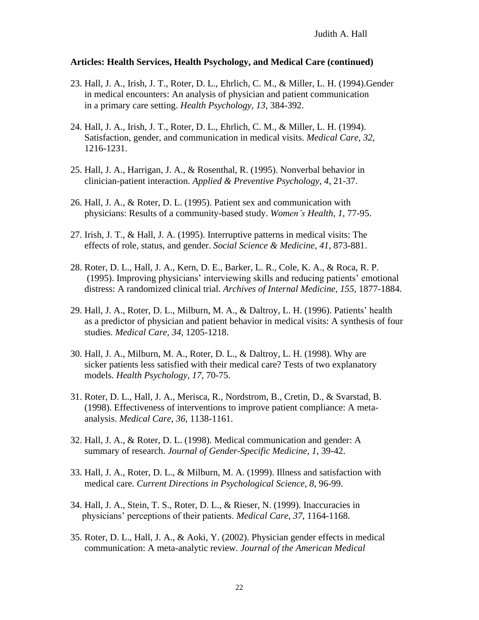- 23. Hall, J. A., Irish, J. T., Roter, D. L., Ehrlich, C. M., & Miller, L. H. (1994).Gender in medical encounters: An analysis of physician and patient communication in a primary care setting. *Health Psychology*, *13*, 384-392.
- 24. Hall, J. A., Irish, J. T., Roter, D. L., Ehrlich, C. M., & Miller, L. H. (1994). Satisfaction, gender, and communication in medical visits. *Medical Care*, *32*, 1216-1231.
- 25. Hall, J. A., Harrigan, J. A., & Rosenthal, R. (1995). Nonverbal behavior in clinician-patient interaction. *Applied & Preventive Psychology*, *4*, 21-37.
- 26. Hall, J. A., & Roter, D. L. (1995). Patient sex and communication with physicians: Results of a community-based study. *Women's Health*, *1*, 77-95.
- 27. Irish, J. T., & Hall, J. A. (1995). Interruptive patterns in medical visits: The effects of role, status, and gender. *Social Science & Medicine*, *41*, 873-881.
- 28. Roter, D. L., Hall, J. A., Kern, D. E., Barker, L. R., Cole, K. A., & Roca, R. P. (1995). Improving physicians' interviewing skills and reducing patients' emotional distress: A randomized clinical trial. *Archives of Internal Medicine*, *155*, 1877-1884.
- 29. Hall, J. A., Roter, D. L., Milburn, M. A., & Daltroy, L. H. (1996). Patients' health as a predictor of physician and patient behavior in medical visits: A synthesis of four studies. *Medical Care*, *34*, 1205-1218.
- 30. Hall, J. A., Milburn, M. A., Roter, D. L., & Daltroy, L. H. (1998). Why are sicker patients less satisfied with their medical care? Tests of two explanatory models. *Health Psychology*, *17*, 70-75.
- 31. Roter, D. L., Hall, J. A., Merisca, R., Nordstrom, B., Cretin, D., & Svarstad, B. (1998). Effectiveness of interventions to improve patient compliance: A metaanalysis. *Medical Care*, *36*, 1138-1161.
- 32. Hall, J. A., & Roter, D. L. (1998). Medical communication and gender: A summary of research. *Journal of Gender-Specific Medicine*, *1*, 39-42.
- 33. Hall, J. A., Roter, D. L., & Milburn, M. A. (1999). Illness and satisfaction with medical care. *Current Directions in Psychological Science*, *8*, 96-99.
- 34. Hall, J. A., Stein, T. S., Roter, D. L., & Rieser, N. (1999). Inaccuracies in physicians' perceptions of their patients. *Medical Care*, *37*, 1164-1168.
- 35. Roter, D. L., Hall, J. A., & Aoki, Y. (2002). Physician gender effects in medical communication: A meta-analytic review*. Journal of the American Medical*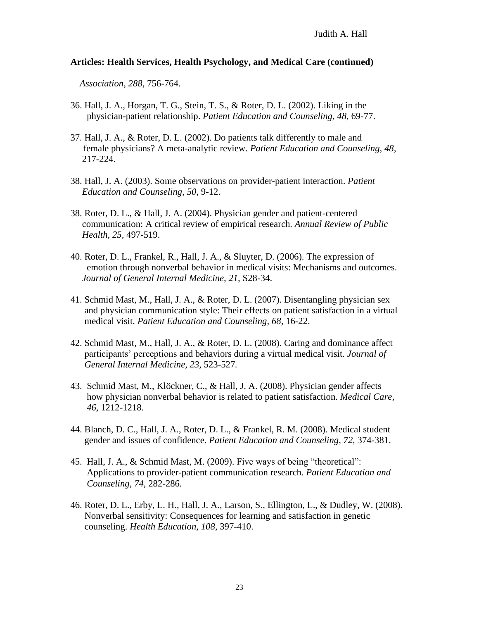*Association*, *288*, 756-764.

- 36. Hall, J. A., Horgan, T. G., Stein, T. S., & Roter, D. L. (2002). Liking in the physician-patient relationship. *Patient Education and Counseling, 48,* 69-77.
- 37. Hall, J. A., & Roter, D. L. (2002). Do patients talk differently to male and female physicians? A meta-analytic review. *Patient Education and Counseling, 48,* 217-224.
- 38. Hall, J. A. (2003). Some observations on provider-patient interaction. *Patient Education and Counseling*, *50*, 9-12.
- 38. Roter, D. L., & Hall, J. A. (2004). Physician gender and patient-centered communication: A critical review of empirical research. *Annual Review of Public Health, 25,* 497-519.
- 40. Roter, D. L., Frankel, R., Hall, J. A., & Sluyter, D. (2006). The expression of emotion through nonverbal behavior in medical visits: Mechanisms and outcomes. *Journal of General Internal Medicine, 21,* S28-34.
- 41. Schmid Mast, M., Hall, J. A., & Roter, D. L. (2007). Disentangling physician sex and physician communication style: Their effects on patient satisfaction in a virtual medical visit. *Patient Education and Counseling, 68,* 16-22.
- 42. Schmid Mast, M., Hall, J. A., & Roter, D. L. (2008). Caring and dominance affect participants' perceptions and behaviors during a virtual medical visit. *Journal of General Internal Medicine, 23,* 523-527*.*
- 43. Schmid Mast, M., Klöckner, C., & Hall, J. A. (2008). Physician gender affects how physician nonverbal behavior is related to patient satisfaction. *Medical Care, 46,* 1212-1218.
- 44. Blanch, D. C., Hall, J. A., Roter, D. L., & Frankel, R. M. (2008). Medical student gender and issues of confidence. *Patient Education and Counseling, 72,* 374-381.
- 45. Hall, J. A., & Schmid Mast, M. (2009). Five ways of being "theoretical": Applications to provider-patient communication research. *Patient Education and Counseling, 74,* 282-286*.*
- 46. Roter, D. L., Erby, L. H., Hall, J. A., Larson, S., Ellington, L., & Dudley, W. (2008). Nonverbal sensitivity: Consequences for learning and satisfaction in genetic counseling. *Health Education, 108*, 397-410.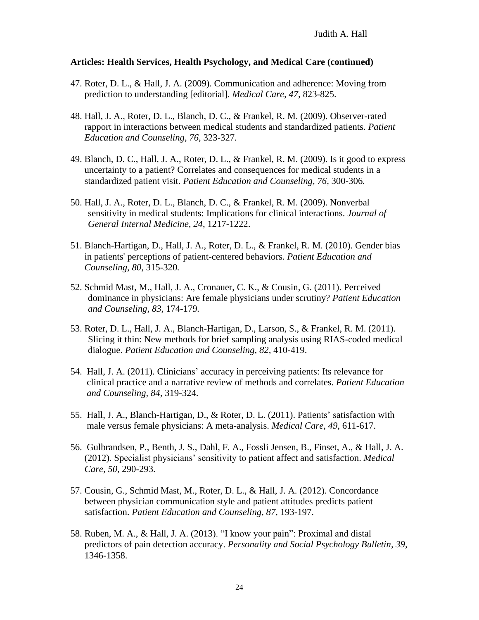- 47. Roter, D. L., & Hall, J. A. (2009). Communication and adherence: Moving from prediction to understanding [editorial]. *Medical Care, 47,* 823-825.
- 48. Hall, J. A., Roter, D. L., Blanch, D. C., & Frankel, R. M. (2009). Observer-rated rapport in interactions between medical students and standardized patients. *Patient Education and Counseling, 76,* 323-327*.*
- 49. Blanch, D. C., Hall, J. A., Roter, D. L., & Frankel, R. M. (2009). Is it good to express uncertainty to a patient? Correlates and consequences for medical students in a standardized patient visit. *Patient Education and Counseling, 76,* 300-306*.*
- 50. Hall, J. A., Roter, D. L., Blanch, D. C., & Frankel, R. M. (2009). Nonverbal sensitivity in medical students: Implications for clinical interactions. *Journal of General Internal Medicine, 24*, 1217-1222.
- 51. Blanch-Hartigan, D., Hall, J. A., Roter, D. L., & Frankel, R. M. (2010). Gender bias in patients' perceptions of patient-centered behaviors. *Patient Education and Counseling, 80,* 315-320*.*
- 52. Schmid Mast, M., Hall, J. A., Cronauer, C. K., & Cousin, G. (2011). Perceived dominance in physicians: Are female physicians under scrutiny? *Patient Education and Counseling, 83,* 174-179*.*
- 53. Roter, D. L., Hall, J. A., Blanch-Hartigan, D., Larson, S., & Frankel, R. M. (2011). Slicing it thin: New methods for brief sampling analysis using RIAS-coded medical dialogue. *Patient Education and Counseling, 82,* 410-419.
- 54. Hall, J. A. (2011). Clinicians' accuracy in perceiving patients: Its relevance for clinical practice and a narrative review of methods and correlates. *Patient Education and Counseling, 84,* 319-324.
- 55. Hall, J. A., Blanch-Hartigan, D., & Roter, D. L. (2011). Patients' satisfaction with male versus female physicians: A meta-analysis. *Medical Care, 49,* 611-617.
- 56. Gulbrandsen, P., Benth, J. S., Dahl, F. A., Fossli Jensen, B., Finset, A., & Hall, J. A. (2012). Specialist physicians' sensitivity to patient affect and satisfaction. *Medical Care, 50*, 290-293.
- 57. Cousin, G., Schmid Mast, M., Roter, D. L., & Hall, J. A. (2012). Concordance between physician communication style and patient attitudes predicts patient satisfaction. *Patient Education and Counseling, 87*, 193-197.
- 58. Ruben, M. A., & Hall, J. A. (2013). "I know your pain": Proximal and distal predictors of pain detection accuracy. *Personality and Social Psychology Bulletin, 39,* 1346-1358.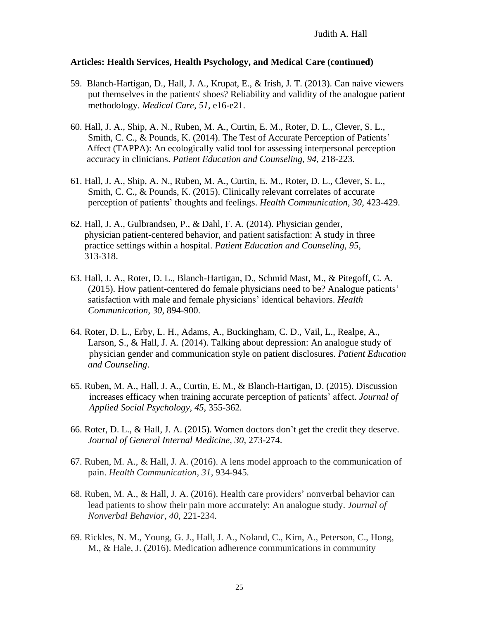- 59. Blanch-Hartigan, D., Hall, J. A., Krupat, E., & Irish, J. T. (2013). Can naive viewers put themselves in the patients' shoes? Reliability and validity of the analogue patient methodology. *Medical Care, 51,* e16-e21.
- 60. Hall, J. A., Ship, A. N., Ruben, M. A., Curtin, E. M., Roter, D. L., Clever, S. L., Smith, C. C., & Pounds, K. (2014). The Test of Accurate Perception of Patients' Affect (TAPPA): An ecologically valid tool for assessing interpersonal perception accuracy in clinicians. *Patient Education and Counseling, 94,* 218-223*.*
- 61. Hall, J. A., Ship, A. N., Ruben, M. A., Curtin, E. M., Roter, D. L., Clever, S. L., Smith, C. C., & Pounds, K. (2015). Clinically relevant correlates of accurate perception of patients' thoughts and feelings. *Health Communication, 30,* 423-429.
- 62. Hall, J. A., Gulbrandsen, P., & Dahl, F. A. (2014). Physician gender, physician patient-centered behavior, and patient satisfaction: A study in three practice settings within a hospital. *Patient Education and Counseling, 95,* 313-318.
- 63. Hall, J. A., Roter, D. L., Blanch-Hartigan, D., Schmid Mast, M., & Pitegoff, C. A. (2015). How patient-centered do female physicians need to be? Analogue patients' satisfaction with male and female physicians' identical behaviors. *Health Communication, 30*, 894-900.
- 64. Roter, D. L., Erby, L. H., Adams, A., Buckingham, C. D., Vail, L., Realpe, A., Larson, S., & Hall, J. A. (2014). Talking about depression: An analogue study of physician gender and communication style on patient disclosures. *Patient Education and Counseling*.
- 65. Ruben, M. A., Hall, J. A., Curtin, E. M., & Blanch-Hartigan, D. (2015). Discussion increases efficacy when training accurate perception of patients' affect. *Journal of Applied Social Psychology, 45,* 355-362*.*
- 66. Roter, D. L., & Hall, J. A. (2015). Women doctors don't get the credit they deserve. *Journal of General Internal Medicine, 30,* 273-274.
- 67. Ruben, M. A., & Hall, J. A. (2016). A lens model approach to the communication of pain. *Health Communication, 31,* 934-945*.*
- 68. Ruben, M. A., & Hall, J. A. (2016). Health care providers' nonverbal behavior can lead patients to show their pain more accurately: An analogue study. *Journal of Nonverbal Behavior, 40,* 221-234.
- 69. Rickles, N. M., Young, G. J., Hall, J. A., Noland, C., Kim, A., Peterson, C., Hong, M., & Hale, J. (2016). Medication adherence communications in community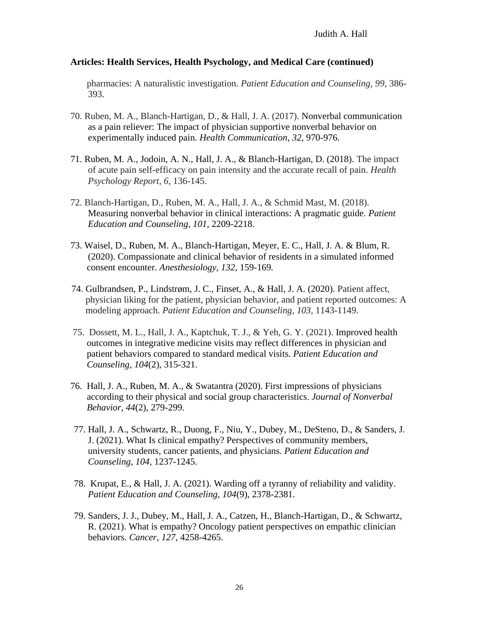pharmacies: A naturalistic investigation. *Patient Education and Counseling, 99*, 386- 393.

- 70. Ruben, M. A., Blanch-Hartigan, D., & Hall, J. A. (2017). Nonverbal communication as a pain reliever: The impact of physician supportive nonverbal behavior on experimentally induced pain. *Health Communication, 32,* 970-976.
- 71. Ruben, M. A., Jodoin, A. N., Hall, J. A., & Blanch-Hartigan, D. (2018). The impact of acute pain self-efficacy on pain intensity and the accurate recall of pain. *Health Psychology Report*, *6*, 136-145.
- 72. Blanch-Hartigan, D., Ruben, M. A., Hall, J. A., & Schmid Mast, M. (2018). Measuring nonverbal behavior in clinical interactions: A pragmatic guide. *Patient Education and Counseling, 101,* 2209-2218.
- 73. Waisel, D., Ruben, M. A., Blanch-Hartigan, Meyer, E. C., Hall, J. A. & Blum, R. (2020). Compassionate and clinical behavior of residents in a simulated informed consent encounter. *Anesthesiology, 132*, 159-169*.*
- 74. Gulbrandsen, P., Lindstrøm, J. C., Finset, A., & Hall, J. A. (2020). Patient affect, physician liking for the patient, physician behavior, and patient reported outcomes: A modeling approach. *Patient Education and Counseling, 103,* 1143-1149.
- 75. Dossett, M. L., Hall, J. A., Kaptchuk, T. J., & Yeh, G. Y. (2021). Improved health outcomes in integrative medicine visits may reflect differences in physician and patient behaviors compared to standard medical visits*. Patient Education and Counseling, 104*(2), 315-321.
- 76. Hall, J. A., Ruben, M. A., & Swatantra (2020). First impressions of physicians according to their physical and social group characteristics. *Journal of Nonverbal Behavior*, *44*(2), 279-299.
- 77. Hall, J. A., Schwartz, R., Duong, F., Niu, Y., Dubey, M., DeSteno, D., & Sanders, J. J. (2021). What Is clinical empathy? Perspectives of community members, university students, cancer patients, and physicians. *Patient Education and Counseling, 104,* 1237-1245.
- 78. Krupat, E., & Hall, J. A. (2021). Warding off a tyranny of reliability and validity. *Patient Education and Counseling, 104*(9), 2378-2381.
- 79. Sanders, J. J., Dubey, M., Hall, J. A., Catzen, H., Blanch-Hartigan, D., & Schwartz, R. (2021). What is empathy? Oncology patient perspectives on empathic clinician behaviors. *Cancer, 127,* 4258-4265.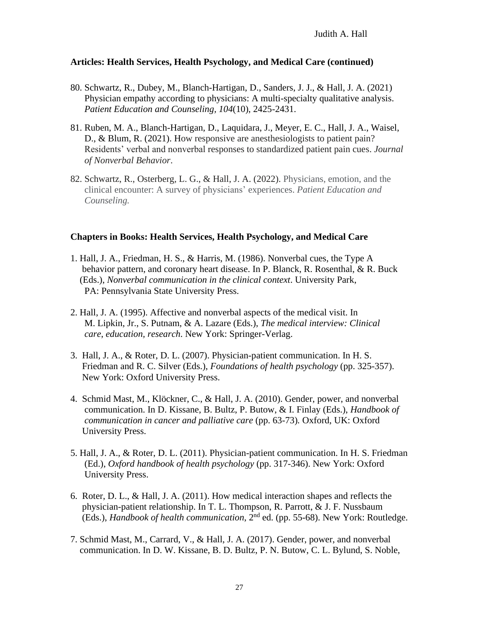- 80. Schwartz, R., Dubey, M., Blanch-Hartigan, D., Sanders, J. J., & Hall, J. A. (2021) Physician empathy according to physicians: A multi-specialty qualitative analysis. *Patient Education and Counseling, 104*(10), 2425-2431.
- 81. Ruben, M. A., Blanch-Hartigan, D., Laquidara, J., Meyer, E. C., Hall, J. A., Waisel, D., & Blum, R. (2021). How responsive are anesthesiologists to patient pain? Residents' verbal and nonverbal responses to standardized patient pain cues. *Journal of Nonverbal Behavior*.
- 82. Schwartz, R., Osterberg, L. G., & Hall, J. A. (2022). Physicians, emotion, and the clinical encounter: A survey of physicians' experiences. *Patient Education and Counseling.*

## **Chapters in Books: Health Services, Health Psychology, and Medical Care**

- 1. Hall, J. A., Friedman, H. S., & Harris, M. (1986). Nonverbal cues, the Type A behavior pattern, and coronary heart disease. In P. Blanck, R. Rosenthal, & R. Buck (Eds.), *Nonverbal communication in the clinical context*. University Park, PA: Pennsylvania State University Press.
- 2. Hall, J. A. (1995). Affective and nonverbal aspects of the medical visit. In M. Lipkin, Jr., S. Putnam, & A. Lazare (Eds.), *The medical interview: Clinical care*, *education, research*. New York: Springer-Verlag.
- 3. Hall, J. A., & Roter, D. L. (2007). Physician-patient communication. In H. S. Friedman and R. C. Silver (Eds.), *Foundations of health psychology* (pp. 325-357). New York: Oxford University Press.
- 4. Schmid Mast, M., Klöckner, C., & Hall, J. A. (2010). Gender, power, and nonverbal communication. In D. Kissane, B. Bultz, P. Butow, & I. Finlay (Eds.), *Handbook of communication in cancer and palliative care* (pp. 63-73)*.* Oxford, UK: Oxford University Press.
- 5. Hall, J. A., & Roter, D. L. (2011). Physician-patient communication. In H. S. Friedman (Ed.), *Oxford handbook of health psychology* (pp. 317-346). New York: Oxford University Press.
- 6. Roter, D. L., & Hall, J. A. (2011). How medical interaction shapes and reflects the physician-patient relationship. In T. L. Thompson, R. Parrott, & J. F. Nussbaum (Eds.), *Handbook of health communication*, 2nd ed. (pp. 55-68). New York: Routledge.
- 7. Schmid Mast, M., Carrard, V., & Hall, J. A. (2017). Gender, power, and nonverbal communication. In D. W. Kissane, B. D. Bultz, P. N. Butow, C. L. Bylund, S. Noble,